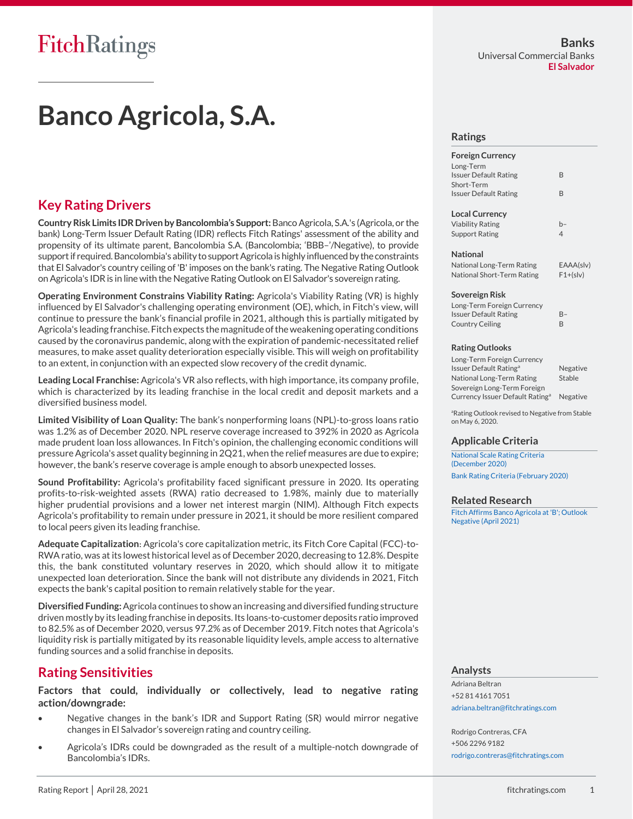# **Banco Agricola, S.A.**

# **Key Rating Drivers**

**Country Risk Limits IDR Driven by Bancolombia's Support:**Banco Agricola, S.A.'s (Agricola, or the bank) Long-Term Issuer Default Rating (IDR) reflects Fitch Ratings' assessment of the ability and propensity of its ultimate parent, Bancolombia S.A. (Bancolombia; 'BBB–'/Negative), to provide support if required. Bancolombia's ability to support Agricola is highly influenced by the constraints that El Salvador's country ceiling of 'B' imposes on the bank's rating. The Negative Rating Outlook on Agricola's IDR is in line with the Negative Rating Outlook on El Salvador's sovereign rating.

**Operating Environment Constrains Viability Rating:** Agricola's Viability Rating (VR) is highly influenced by El Salvador's challenging operating environment (OE), which, in Fitch's view, will continue to pressure the bank's financial profile in 2021, although this is partially mitigated by Agricola's leading franchise. Fitch expects the magnitude of the weakening operating conditions caused by the coronavirus pandemic, along with the expiration of pandemic-necessitated relief measures, to make asset quality deterioration especially visible. This will weigh on profitability to an extent, in conjunction with an expected slow recovery of the credit dynamic.

**Leading Local Franchise:** Agricola's VR also reflects, with high importance, its company profile, which is characterized by its leading franchise in the local credit and deposit markets and a diversified business model.

**Limited Visibility of Loan Quality:** The bank's nonperforming loans (NPL)-to-gross loans ratio was 1.2% as of December 2020. NPL reserve coverage increased to 392% in 2020 as Agricola made prudent loan loss allowances. In Fitch's opinion, the challenging economic conditions will pressure Agricola's asset quality beginning in 2Q21, when the relief measures are due to expire; however, the bank's reserve coverage is ample enough to absorb unexpected losses.

**Sound Profitability:** Agricola's profitability faced significant pressure in 2020. Its operating profits-to-risk-weighted assets (RWA) ratio decreased to 1.98%, mainly due to materially higher prudential provisions and a lower net interest margin (NIM). Although Fitch expects Agricola's profitability to remain under pressure in 2021, it should be more resilient compared to local peers given its leading franchise.

**Adequate Capitalization:** Agricola's core capitalization metric, its Fitch Core Capital (FCC)-to-RWA ratio, was at its lowest historical level as of December 2020, decreasing to 12.8%. Despite this, the bank constituted voluntary reserves in 2020, which should allow it to mitigate unexpected loan deterioration. Since the bank will not distribute any dividends in 2021, Fitch expects the bank's capital position to remain relatively stable for the year.

**Diversified Funding:**Agricola continues to show an increasing and diversified funding structure driven mostly by its leading franchise in deposits. Its loans-to-customer deposits ratio improved to 82.5% as of December 2020, versus 97.2% as of December 2019. Fitch notes that Agricola's liquidity risk is partially mitigated by its reasonable liquidity levels, ample access to alternative funding sources and a solid franchise in deposits.

# **Rating Sensitivities**

**Factors that could, individually or collectively, lead to negative rating action/downgrade:**

- Negative changes in the bank's IDR and Support Rating (SR) would mirror negative changes in El Salvador's sovereign rating and country ceiling.
- Agricola's IDRs could be downgraded as the result of a multiple-notch downgrade of Bancolombia's IDRs.

#### **Ratings**

#### **Foreign Currency** Long-Term Issuer Default Rating B Short-Term Issuer Default Rating B **Local Currency** Viability Rating b– Support Rating 4 **National** National Long-Term Rating EAAA(slv) National Short-Term Rating F1+(slv) **Sovereign Risk** Long-Term Foreign Currency Issuer Default Rating B– Country Ceiling B

#### **Rating Outlooks**

| Long-Term Foreign Currency                  |          |
|---------------------------------------------|----------|
| Issuer Default Rating <sup>a</sup>          | Negative |
| National Long-Term Rating                   | Stable   |
| Sovereign Long-Term Foreign                 |          |
| Currency Issuer Default Rating <sup>a</sup> | Negative |

<sup>a</sup>Rating Outlook revised to Negative from Stable on May 6, 2020.

#### **Applicable Criteria**

[National Scale Rating Criteria](https://www.fitchratings.com/site/re/10146648)  [\(December 2020\)](https://www.fitchratings.com/site/re/10146648) [Bank Rating Criteria \(February 2020\)](https://www.fitchratings.com/site/re/10110041)

#### **Related Research**

[Fitch Affirms Banco Agricola at 'B'; Outlook](https://www.fitchratings.com/site/pr/10158411)  [Negative \(April 2021\)](https://www.fitchratings.com/site/pr/10158411)

#### **Analysts**

Adriana Beltran +52 81 4161 7051 [adriana.beltran@fitchratings.com](mailto:adriana.beltran@fitchratings.com)

Rodrigo Contreras, CFA +506 2296 9182 [rodrigo.contreras@fitchratings.com](mailto:rodrigo.contreras@fitchratings.com)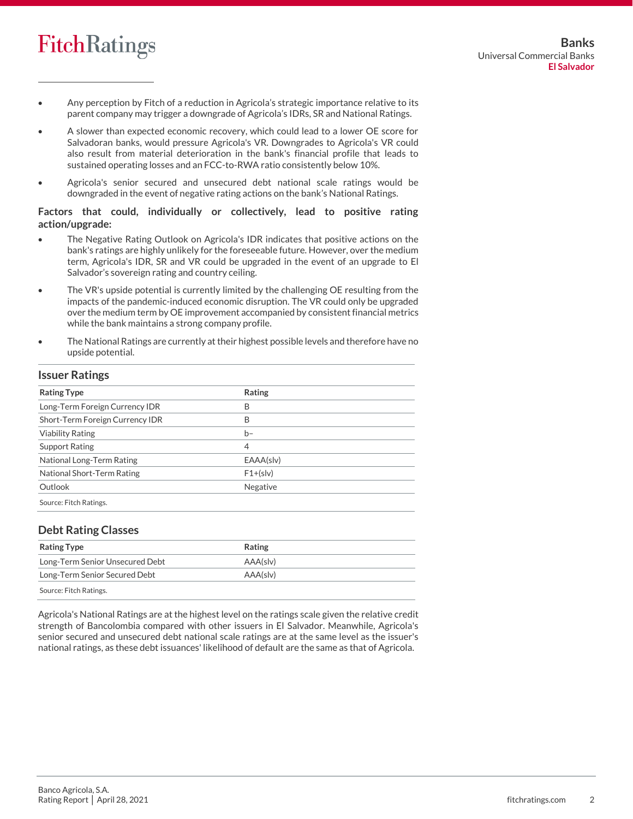

- Any perception by Fitch of a reduction in Agricola's strategic importance relative to its parent company may trigger a downgrade of Agricola's IDRs, SR and National Ratings.
- A slower than expected economic recovery, which could lead to a lower OE score for Salvadoran banks, would pressure Agricola's VR. Downgrades to Agricola's VR could also result from material deterioration in the bank's financial profile that leads to sustained operating losses and an FCC-to-RWA ratio consistently below 10%.
- Agricola's senior secured and unsecured debt national scale ratings would be downgraded in the event of negative rating actions on the bank's National Ratings.

#### **Factors that could, individually or collectively, lead to positive rating action/upgrade:**

- The Negative Rating Outlook on Agricola's IDR indicates that positive actions on the bank's ratings are highly unlikely for the foreseeable future. However, over the medium term, Agricola's IDR, SR and VR could be upgraded in the event of an upgrade to El Salvador's sovereign rating and country ceiling.
- The VR's upside potential is currently limited by the challenging OE resulting from the impacts of the pandemic-induced economic disruption. The VR could only be upgraded over the medium term by OE improvement accompanied by consistent financial metrics while the bank maintains a strong company profile.
- The National Ratings are currently at their highest possible levels and therefore have no upside potential.

#### **Issuer Ratings**

| <b>Rating Type</b>              | Rating     |  |
|---------------------------------|------------|--|
| Long-Term Foreign Currency IDR  | B          |  |
| Short-Term Foreign Currency IDR | B          |  |
| <b>Viability Rating</b>         | $b-$       |  |
| <b>Support Rating</b>           | 4          |  |
| National Long-Term Rating       | EAAA(slv)  |  |
| National Short-Term Rating      | $F1+(s v)$ |  |
| Outlook                         | Negative   |  |
| Source: Fitch Ratings.          |            |  |

#### **Debt Rating Classes**

| <b>Rating Type</b>              | <b>Rating</b> |  |
|---------------------------------|---------------|--|
| Long-Term Senior Unsecured Debt | AAA(sly)      |  |
| Long-Term Senior Secured Debt   | AAA(sly)      |  |
| Source: Fitch Ratings.          |               |  |

Agricola's National Ratings are at the highest level on the ratings scale given the relative credit strength of Bancolombia compared with other issuers in El Salvador. Meanwhile, Agricola's senior secured and unsecured debt national scale ratings are at the same level as the issuer's national ratings, as these debt issuances' likelihood of default are the same as that of Agricola.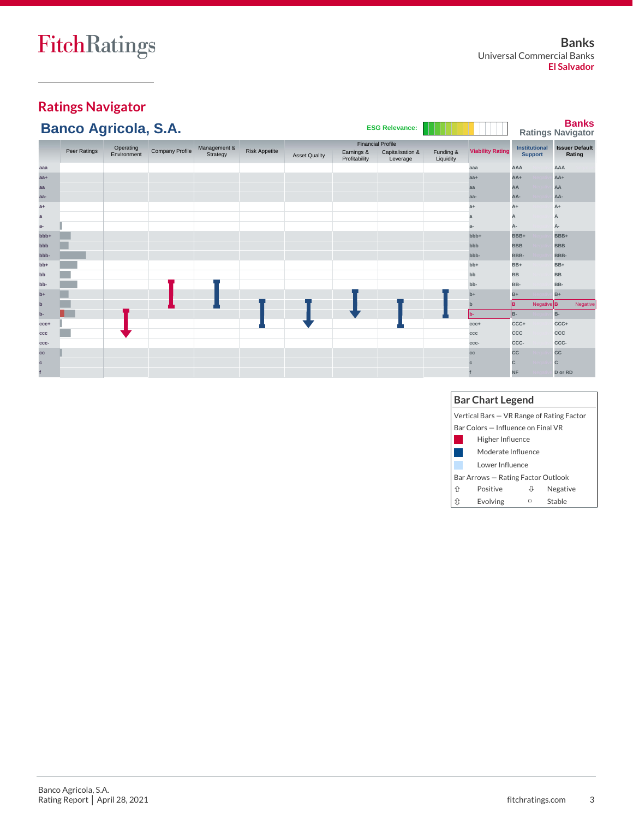# **Ratings Navigator**

|             | <b>Banco Agricola, S.A.</b> |             |                        |              |                      |                      |               | <b>ESG Relevance:</b>                        |           |                         |            |                       | <b>Banks</b><br><b>Ratings Navigator</b> |
|-------------|-----------------------------|-------------|------------------------|--------------|----------------------|----------------------|---------------|----------------------------------------------|-----------|-------------------------|------------|-----------------------|------------------------------------------|
|             | Peer Ratings                | Operating   | <b>Company Profile</b> | Management & | <b>Risk Appetite</b> |                      | Earnings &    | <b>Financial Profile</b><br>Capitalisation & | Funding & | <b>Viability Rating</b> |            | <b>Institutional</b>  | <b>Issuer Default</b>                    |
|             |                             | Environment |                        | Strategy     |                      | <b>Asset Quality</b> | Profitability | Leverage                                     | Liquidity |                         |            | <b>Support</b>        | Rating                                   |
| aaa         |                             |             |                        |              |                      |                      |               |                                              |           | aaa                     | AAA        |                       | AAA                                      |
| $aa+$       |                             |             |                        |              |                      |                      |               |                                              |           | $aa+$                   | $AA+$      |                       | $AA+$                                    |
| aa          |                             |             |                        |              |                      |                      |               |                                              |           | aa                      | AA         |                       | AA                                       |
| aa-         |                             |             |                        |              |                      |                      |               |                                              |           | aa-                     | AA-        |                       | AA-                                      |
| $a+$        |                             |             |                        |              |                      |                      |               |                                              |           | $a+$                    | A+         |                       | A+                                       |
| a           |                             |             |                        |              |                      |                      |               |                                              |           | a                       | A          |                       | A                                        |
| a-          |                             |             |                        |              |                      |                      |               |                                              |           | $a-$                    | А-         |                       | А-                                       |
| bbb+        |                             |             |                        |              |                      |                      |               |                                              |           | bbb+                    | BBB+       |                       | BBB+                                     |
| bbb         |                             |             |                        |              |                      |                      |               |                                              |           | bbb                     | <b>BBB</b> |                       | <b>BBB</b>                               |
| bbb-        |                             |             |                        |              |                      |                      |               |                                              |           | bbb-                    | BBB-       |                       | BBB-                                     |
| $bb+$       |                             |             |                        |              |                      |                      |               |                                              |           | $bb+$                   | $BB+$      |                       | $BB+$                                    |
| bb          |                             |             |                        |              |                      |                      |               |                                              |           | bb                      | <b>BB</b>  |                       | <b>BB</b>                                |
| bb-         |                             |             |                        |              |                      |                      |               |                                              |           | bb-                     | BB-        |                       | BB-                                      |
| $b+$        |                             |             |                        |              |                      |                      |               |                                              |           | $b+$                    | $B+$       |                       | $B+$                                     |
| $\mathbf b$ |                             |             |                        |              |                      |                      |               |                                              |           | $\mathbf{b}$            | lB.        | Negative <sup>B</sup> | Negative                                 |
| $b -$       |                             |             |                        |              |                      |                      |               |                                              |           | lb-                     | B-         |                       | $B -$                                    |
| $CCC +$     |                             |             |                        |              |                      |                      |               |                                              |           | $CCC +$                 | CCC+       |                       | CCC+                                     |
| ccc         |                             |             |                        |              |                      |                      |               |                                              |           | ccc                     | CCC        |                       | CCC                                      |
| CCC-        |                             |             |                        |              |                      |                      |               |                                              |           | CCC-                    | CCC-       |                       | CCC-                                     |
| cc          |                             |             |                        |              |                      |                      |               |                                              |           | cc                      | CC         |                       | <b>CC</b>                                |
| c           |                             |             |                        |              |                      |                      |               |                                              |           |                         | C          |                       | C                                        |
|             |                             |             |                        |              |                      |                      |               |                                              |           |                         | <b>NF</b>  |                       | D or RD                                  |

#### **Bar Chart Legend** Vertical Bars — VR Range of Rating Factor Bar Colors — Influence on Final VR  $\mathcal{L}$ Higher Influence

|    | <b>HISHEL HINGHCE</b>              |   |          |
|----|------------------------------------|---|----------|
|    | Moderate Influence                 |   |          |
|    | Lower Influence                    |   |          |
|    | Bar Arrows - Rating Factor Outlook |   |          |
| 介  | Positive                           | ₩ | Negative |
| ĴÇ | Evolving                           | ▭ | Stable   |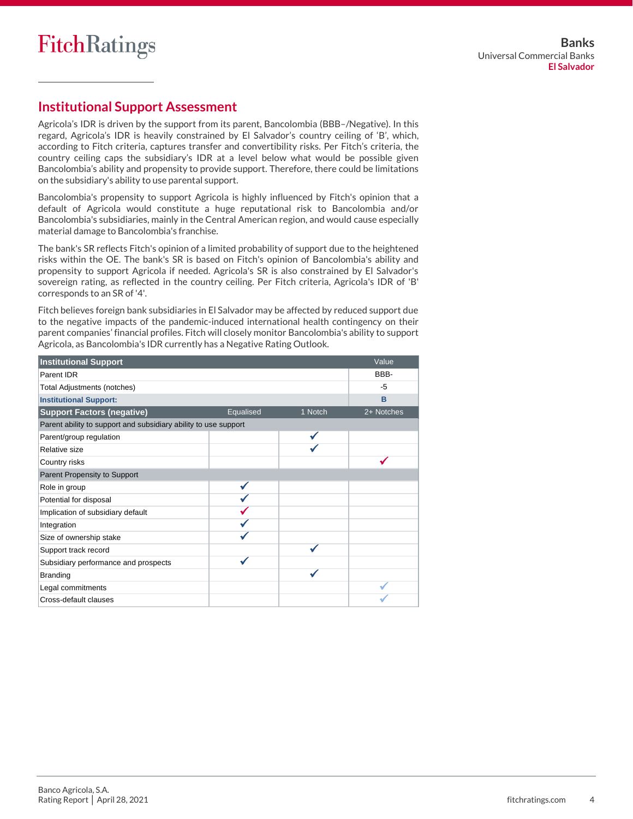# **Institutional Support Assessment**

Agricola's IDR is driven by the support from its parent, Bancolombia (BBB–/Negative). In this regard, Agricola's IDR is heavily constrained by El Salvador's country ceiling of 'B', which, according to Fitch criteria, captures transfer and convertibility risks. Per Fitch's criteria, the country ceiling caps the subsidiary's IDR at a level below what would be possible given Bancolombia's ability and propensity to provide support. Therefore, there could be limitations on the subsidiary's ability to use parental support.

Bancolombia's propensity to support Agricola is highly influenced by Fitch's opinion that a default of Agricola would constitute a huge reputational risk to Bancolombia and/or Bancolombia's subsidiaries, mainly in the Central American region, and would cause especially material damage to Bancolombia's franchise.

The bank's SR reflects Fitch's opinion of a limited probability of support due to the heightened risks within the OE. The bank's SR is based on Fitch's opinion of Bancolombia's ability and propensity to support Agricola if needed. Agricola's SR is also constrained by El Salvador's sovereign rating, as reflected in the country ceiling. Per Fitch criteria, Agricola's IDR of 'B' corresponds to an SR of '4'.

Fitch believes foreign bank subsidiaries in El Salvador may be affected by reduced support due to the negative impacts of the pandemic-induced international health contingency on their parent companies' financial profiles. Fitch will closely monitor Bancolombia's ability to support Agricola, as Bancolombia's IDR currently has a Negative Rating Outlook.

| <b>Institutional Support</b>                                    |           |         | Value      |
|-----------------------------------------------------------------|-----------|---------|------------|
| Parent IDR                                                      |           |         | BBB-       |
| Total Adjustments (notches)                                     |           |         | $-5$       |
| <b>Institutional Support:</b>                                   |           |         | B          |
| <b>Support Factors (negative)</b>                               | Equalised | 1 Notch | 2+ Notches |
| Parent ability to support and subsidiary ability to use support |           |         |            |
| Parent/group regulation                                         |           |         |            |
| Relative size                                                   |           |         |            |
| Country risks                                                   |           |         |            |
| Parent Propensity to Support                                    |           |         |            |
| Role in group                                                   |           |         |            |
| Potential for disposal                                          |           |         |            |
| Implication of subsidiary default                               |           |         |            |
| Integration                                                     |           |         |            |
| Size of ownership stake                                         |           |         |            |
| Support track record                                            |           |         |            |
| Subsidiary performance and prospects                            |           |         |            |
| <b>Branding</b>                                                 |           |         |            |
| Legal commitments                                               |           |         |            |
| Cross-default clauses                                           |           |         |            |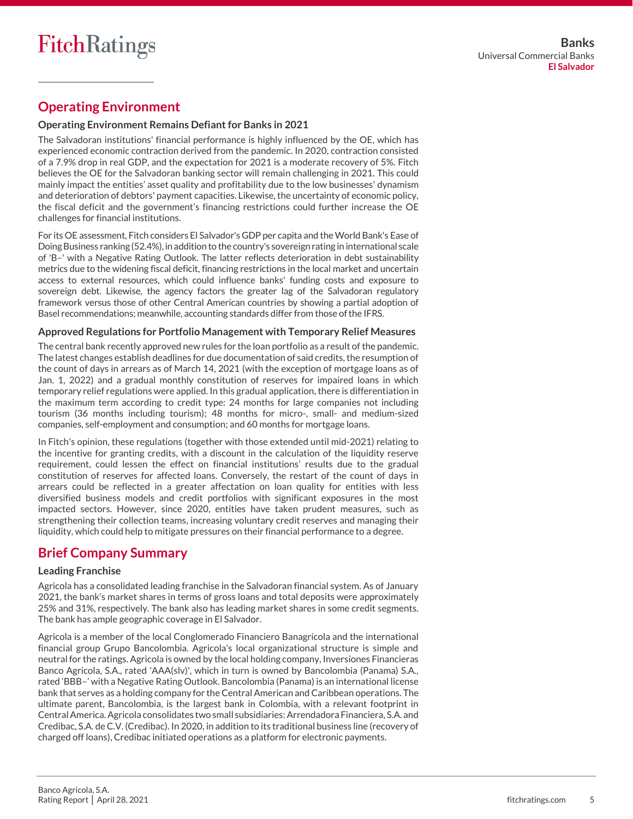# **Operating Environment**

#### **Operating Environment Remains Defiant for Banks in 2021**

The Salvadoran institutions' financial performance is highly influenced by the OE, which has experienced economic contraction derived from the pandemic. In 2020, contraction consisted of a 7.9% drop in real GDP, and the expectation for 2021 is a moderate recovery of 5%. Fitch believes the OE for the Salvadoran banking sector will remain challenging in 2021. This could mainly impact the entities' asset quality and profitability due to the low businesses' dynamism and deterioration of debtors' payment capacities. Likewise, the uncertainty of economic policy, the fiscal deficit and the government's financing restrictions could further increase the OE challenges for financial institutions.

For its OE assessment, Fitch considers El Salvador's GDP per capita and the World Bank's Ease of Doing Business ranking (52.4%), in addition to the country's sovereign rating in international scale of 'B–' with a Negative Rating Outlook. The latter reflects deterioration in debt sustainability metrics due to the widening fiscal deficit, financing restrictions in the local market and uncertain access to external resources, which could influence banks' funding costs and exposure to sovereign debt. Likewise, the agency factors the greater lag of the Salvadoran regulatory framework versus those of other Central American countries by showing a partial adoption of Basel recommendations; meanwhile, accounting standards differ from those of the IFRS.

#### **Approved Regulations for Portfolio Management with Temporary Relief Measures**

The central bank recently approved new rules for the loan portfolio as a result of the pandemic. The latest changes establish deadlines for due documentation of said credits, the resumption of the count of days in arrears as of March 14, 2021 (with the exception of mortgage loans as of Jan. 1, 2022) and a gradual monthly constitution of reserves for impaired loans in which temporary relief regulations were applied. In this gradual application, there is differentiation in the maximum term according to credit type: 24 months for large companies not including tourism (36 months including tourism); 48 months for micro-, small- and medium-sized companies, self-employment and consumption; and 60 months for mortgage loans.

In Fitch's opinion, these regulations (together with those extended until mid-2021) relating to the incentive for granting credits, with a discount in the calculation of the liquidity reserve requirement, could lessen the effect on financial institutions' results due to the gradual constitution of reserves for affected loans. Conversely, the restart of the count of days in arrears could be reflected in a greater affectation on loan quality for entities with less diversified business models and credit portfolios with significant exposures in the most impacted sectors. However, since 2020, entities have taken prudent measures, such as strengthening their collection teams, increasing voluntary credit reserves and managing their liquidity, which could help to mitigate pressures on their financial performance to a degree.

# **Brief Company Summary**

#### **Leading Franchise**

Agricola has a consolidated leading franchise in the Salvadoran financial system. As of January 2021, the bank's market shares in terms of gross loans and total deposits were approximately 25% and 31%, respectively. The bank also has leading market shares in some credit segments. The bank has ample geographic coverage in El Salvador.

Agricola is a member of the local Conglomerado Financiero Banagrícola and the international financial group Grupo Bancolombia. Agricola's local organizational structure is simple and neutral for the ratings. Agricola is owned by the local holding company, Inversiones Financieras Banco Agricola, S.A., rated 'AAA(slv)', which in turn is owned by Bancolombia (Panama) S.A., rated 'BBB–' with a Negative Rating Outlook. Bancolombia (Panama) is an international license bank that serves as a holding company for the Central American and Caribbean operations. The ultimate parent, Bancolombia, is the largest bank in Colombia, with a relevant footprint in Central America.Agricola consolidates two small subsidiaries: Arrendadora Financiera, S.A. and Credibac, S.A. de C.V. (Credibac). In 2020, in addition to its traditional business line (recovery of charged off loans), Credibac initiated operations as a platform for electronic payments.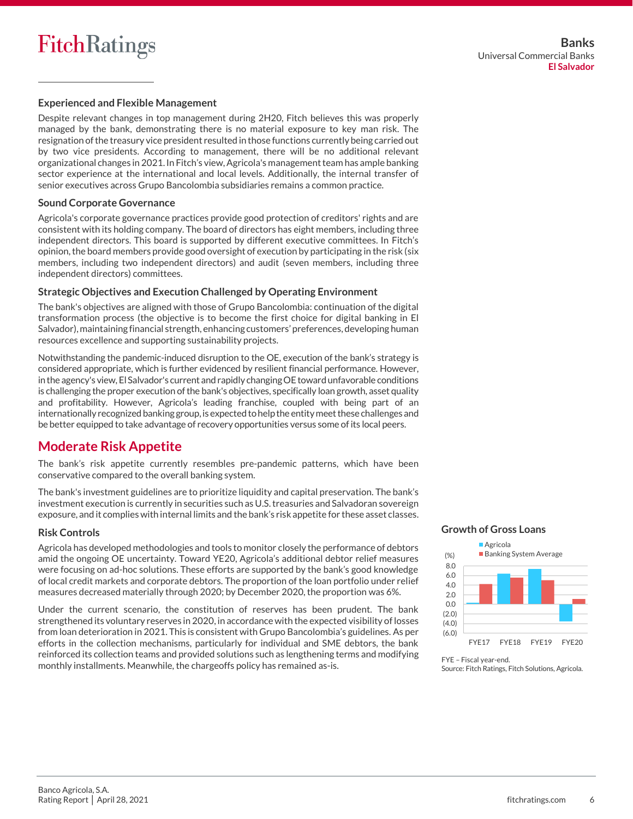#### **Experienced and Flexible Management**

Despite relevant changes in top management during 2H20, Fitch believes this was properly managed by the bank, demonstrating there is no material exposure to key man risk. The resignation of the treasury vice president resulted in those functions currently being carried out by two vice presidents. According to management, there will be no additional relevant organizational changes in 2021. In Fitch's view, Agricola's management team has ample banking sector experience at the international and local levels. Additionally, the internal transfer of senior executives across Grupo Bancolombia subsidiaries remains a common practice.

#### **Sound Corporate Governance**

Agricola's corporate governance practices provide good protection of creditors' rights and are consistent with its holding company. The board of directors has eight members, including three independent directors. This board is supported by different executive committees. In Fitch's opinion, the board members provide good oversight of execution by participating in the risk (six members, including two independent directors) and audit (seven members, including three independent directors) committees.

#### **Strategic Objectives and Execution Challenged by Operating Environment**

The bank's objectives are aligned with those of Grupo Bancolombia: continuation of the digital transformation process (the objective is to become the first choice for digital banking in El Salvador), maintaining financial strength, enhancing customers' preferences, developing human resources excellence and supporting sustainability projects.

Notwithstanding the pandemic-induced disruption to the OE, execution of the bank's strategy is considered appropriate, which is further evidenced by resilient financial performance. However, in the agency's view, El Salvador's current and rapidly changing OE toward unfavorable conditions is challenging the proper execution of the bank's objectives, specifically loan growth, asset quality and profitability. However, Agricola's leading franchise, coupled with being part of an internationally recognized banking group, is expected to help the entity meetthese challenges and be better equipped to take advantage of recovery opportunities versus some of its local peers.

# **Moderate Risk Appetite**

The bank's risk appetite currently resembles pre-pandemic patterns, which have been conservative compared to the overall banking system.

The bank's investment guidelines are to prioritize liquidity and capital preservation. The bank's investment execution is currently in securities such as U.S.treasuries and Salvadoran sovereign exposure, and it complies with internal limits and the bank's risk appetite for these asset classes.

#### **Risk Controls**

Agricola has developed methodologies and tools to monitor closely the performance of debtors amid the ongoing OE uncertainty. Toward YE20, Agricola's additional debtor relief measures were focusing on ad-hoc solutions. These efforts are supported by the bank's good knowledge of local credit markets and corporate debtors. The proportion of the loan portfolio under relief measures decreased materially through 2020; by December 2020, the proportion was 6%.

Under the current scenario, the constitution of reserves has been prudent. The bank strengthened its voluntary reserves in 2020, in accordance with the expected visibility of losses from loan deterioration in 2021. This is consistent with Grupo Bancolombia's guidelines. As per efforts in the collection mechanisms, particularly for individual and SME debtors, the bank reinforced its collection teams and provided solutions such as lengthening terms and modifying monthly installments. Meanwhile, the chargeoffs policy has remained as-is.

#### **Growth of Gross Loans**



FYE – Fiscal year-end. Source: Fitch Ratings, Fitch Solutions, Agricola.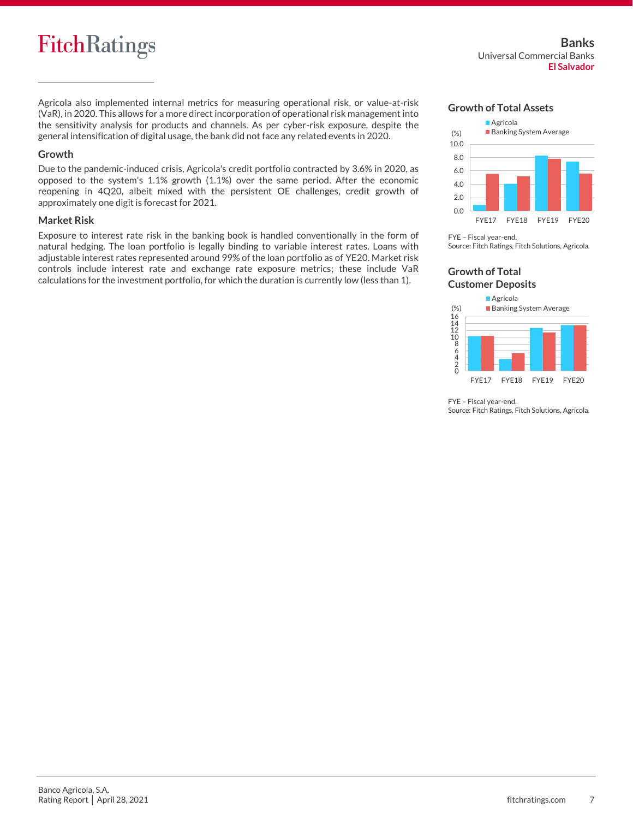# **FitchRatings**

Agricola also implemented internal metrics for measuring operational risk, or value-at-risk (VaR), in 2020. This allows for a more direct incorporation of operational risk management into the sensitivity analysis for products and channels. As per cyber-risk exposure, despite the general intensification of digital usage, the bank did not face any related events in 2020.

#### **Growth**

Due to the pandemic-induced crisis, Agricola's credit portfolio contracted by 3.6% in 2020, as opposed to the system's 1.1% growth (1.1%) over the same period. After the economic reopening in 4Q20, albeit mixed with the persistent OE challenges, credit growth of approximately one digit is forecast for 2021.

#### **Market Risk**

Exposure to interest rate risk in the banking book is handled conventionally in the form of natural hedging. The loan portfolio is legally binding to variable interest rates. Loans with adjustable interest rates represented around 99% of the loan portfolio as of YE20. Market risk controls include interest rate and exchange rate exposure metrics; these include VaR calculations for the investment portfolio, for which the duration is currently low (less than 1).

#### **Growth of Total Assets**



FYE – Fiscal year-end. Source: Fitch Ratings, Fitch Solutions, Agricola.

#### **Growth of Total Customer Deposits**



FYE – Fiscal year-end. Source: Fitch Ratings, Fitch Solutions, Agricola.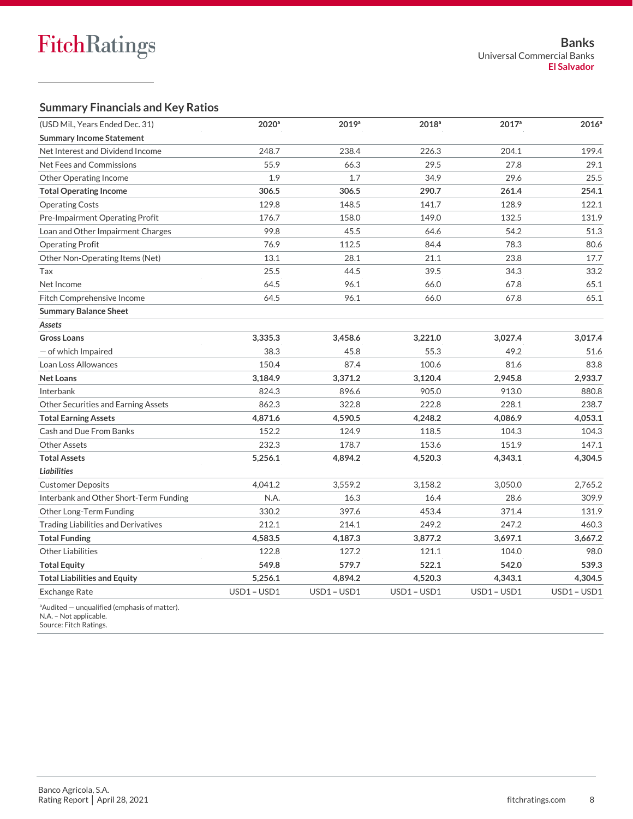### **Summary Financials and Key Ratios**

| (USD Mil., Years Ended Dec. 31)            | $2020$ <sup>a</sup> | 2019a   | $2018^a$ | $2017^{\circ}$ | 2016 <sup>a</sup> |
|--------------------------------------------|---------------------|---------|----------|----------------|-------------------|
| <b>Summary Income Statement</b>            |                     |         |          |                |                   |
| Net Interest and Dividend Income           | 248.7               | 238.4   | 226.3    | 204.1          | 199.4             |
| Net Fees and Commissions                   | 55.9                | 66.3    | 29.5     | 27.8           | 29.1              |
| <b>Other Operating Income</b>              | 1.9                 | 1.7     | 34.9     | 29.6           | 25.5              |
| <b>Total Operating Income</b>              | 306.5               | 306.5   | 290.7    | 261.4          | 254.1             |
| <b>Operating Costs</b>                     | 129.8               | 148.5   | 141.7    | 128.9          | 122.1             |
| Pre-Impairment Operating Profit            | 176.7               | 158.0   | 149.0    | 132.5          | 131.9             |
| Loan and Other Impairment Charges          | 99.8                | 45.5    | 64.6     | 54.2           | 51.3              |
| <b>Operating Profit</b>                    | 76.9                | 112.5   | 84.4     | 78.3           | 80.6              |
| Other Non-Operating Items (Net)            | 13.1                | 28.1    | 21.1     | 23.8           | 17.7              |
| Tax                                        | 25.5                | 44.5    | 39.5     | 34.3           | 33.2              |
| Net Income                                 | 64.5                | 96.1    | 66.0     | 67.8           | 65.1              |
| Fitch Comprehensive Income                 | 64.5                | 96.1    | 66.0     | 67.8           | 65.1              |
| <b>Summary Balance Sheet</b>               |                     |         |          |                |                   |
| Assets                                     |                     |         |          |                |                   |
| <b>Gross Loans</b>                         | 3,335.3             | 3,458.6 | 3,221.0  | 3,027.4        | 3,017.4           |
| $-$ of which Impaired                      | 38.3                | 45.8    | 55.3     | 49.2           | 51.6              |
| Loan Loss Allowances                       | 150.4               | 87.4    | 100.6    | 81.6           | 83.8              |
| <b>Net Loans</b>                           | 3,184.9             | 3,371.2 | 3,120.4  | 2,945.8        | 2,933.7           |
| Interbank                                  | 824.3               | 896.6   | 905.0    | 913.0          | 880.8             |
| Other Securities and Earning Assets        | 862.3               | 322.8   | 222.8    | 228.1          | 238.7             |
| <b>Total Earning Assets</b>                | 4,871.6             | 4,590.5 | 4,248.2  | 4,086.9        | 4,053.1           |
| Cash and Due From Banks                    | 152.2               | 124.9   | 118.5    | 104.3          | 104.3             |
| <b>Other Assets</b>                        | 232.3               | 178.7   | 153.6    | 151.9          | 147.1             |
| <b>Total Assets</b>                        | 5,256.1             | 4,894.2 | 4,520.3  | 4,343.1        | 4,304.5           |
| <b>Liabilities</b>                         |                     |         |          |                |                   |
| <b>Customer Deposits</b>                   | 4,041.2             | 3,559.2 | 3,158.2  | 3,050.0        | 2,765.2           |
| Interbank and Other Short-Term Funding     | N.A.                | 16.3    | 16.4     | 28.6           | 309.9             |
| Other Long-Term Funding                    | 330.2               | 397.6   | 453.4    | 371.4          | 131.9             |
| <b>Trading Liabilities and Derivatives</b> | 212.1               | 214.1   | 249.2    | 247.2          | 460.3             |
| <b>Total Funding</b>                       | 4,583.5             | 4,187.3 | 3,877.2  | 3,697.1        | 3,667.2           |
| <b>Other Liabilities</b>                   | 122.8               | 127.2   | 121.1    | 104.0          | 98.0              |
| <b>Total Equity</b>                        | 549.8               | 579.7   | 522.1    | 542.0          | 539.3             |
| <b>Total Liabilities and Equity</b>        | 5,256.1             | 4,894.2 | 4,520.3  | 4,343.1        | 4,304.5           |
| <b>Exchange Rate</b>                       |                     |         |          |                |                   |

 $a^2$ Audited — unqualified (emphasis of matter).

N.A. – Not applicable. Source: Fitch Ratings.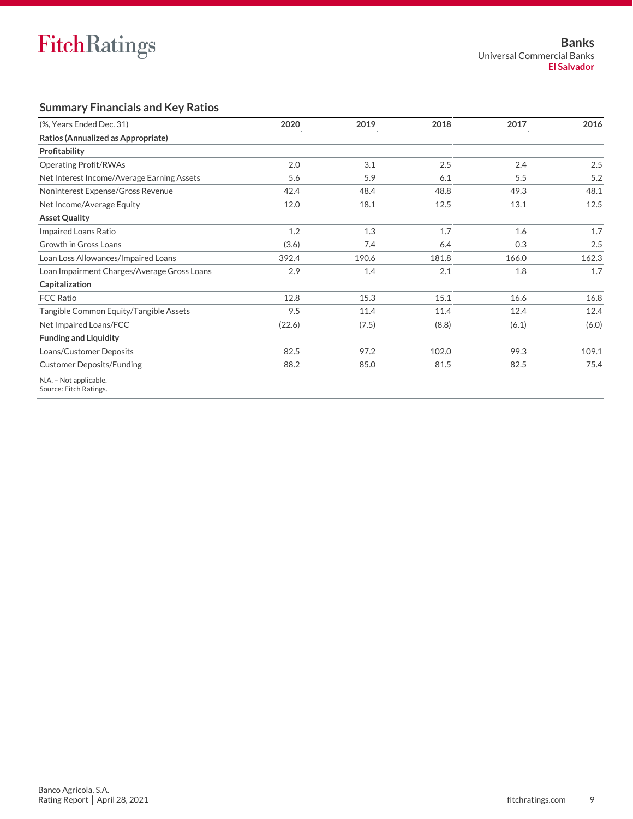### **Summary Financials and Key Ratios**

| (%, Years Ended Dec. 31)                         | 2020   | 2019  | 2018  | 2017  | 2016  |
|--------------------------------------------------|--------|-------|-------|-------|-------|
| Ratios (Annualized as Appropriate)               |        |       |       |       |       |
| Profitability                                    |        |       |       |       |       |
| <b>Operating Profit/RWAs</b>                     | 2.0    | 3.1   | 2.5   | 2.4   | 2.5   |
| Net Interest Income/Average Earning Assets       | 5.6    | 5.9   | 6.1   | 5.5   | 5.2   |
| Noninterest Expense/Gross Revenue                | 42.4   | 48.4  | 48.8  | 49.3  | 48.1  |
| Net Income/Average Equity                        | 12.0   | 18.1  | 12.5  | 13.1  | 12.5  |
| <b>Asset Quality</b>                             |        |       |       |       |       |
| Impaired Loans Ratio                             | 1.2    | 1.3   | 1.7   | 1.6   | 1.7   |
| Growth in Gross Loans                            | (3.6)  | 7.4   | 6.4   | 0.3   | 2.5   |
| Loan Loss Allowances/Impaired Loans              | 392.4  | 190.6 | 181.8 | 166.0 | 162.3 |
| Loan Impairment Charges/Average Gross Loans      | 2.9    | 1.4   | 2.1   | 1.8   | 1.7   |
| Capitalization                                   |        |       |       |       |       |
| <b>FCC Ratio</b>                                 | 12.8   | 15.3  | 15.1  | 16.6  | 16.8  |
| Tangible Common Equity/Tangible Assets           | 9.5    | 11.4  | 11.4  | 12.4  | 12.4  |
| Net Impaired Loans/FCC                           | (22.6) | (7.5) | (8.8) | (6.1) | (6.0) |
| <b>Funding and Liquidity</b>                     |        |       |       |       |       |
| Loans/Customer Deposits                          | 82.5   | 97.2  | 102.0 | 99.3  | 109.1 |
| <b>Customer Deposits/Funding</b>                 | 88.2   | 85.0  | 81.5  | 82.5  | 75.4  |
| N.A. - Not applicable.<br>Source: Fitch Ratings. |        |       |       |       |       |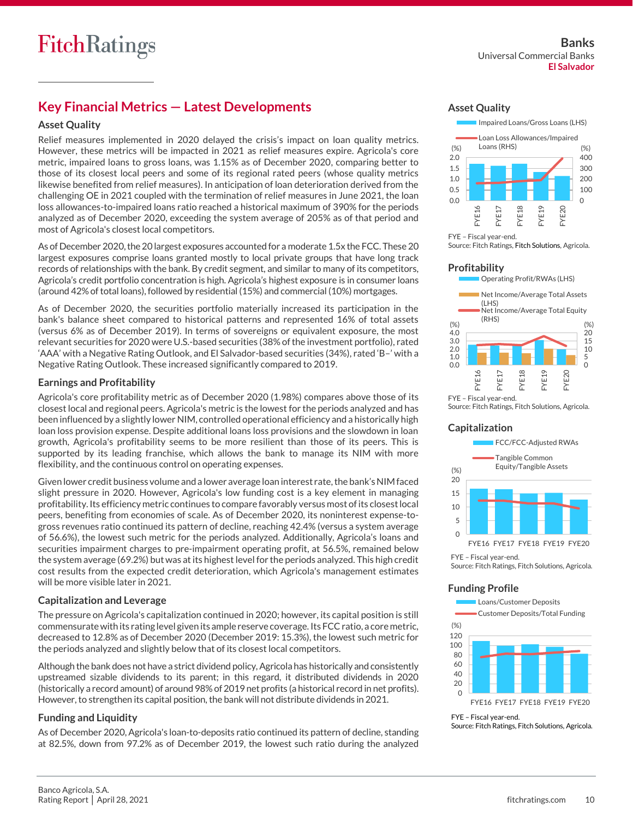# **Key Financial Metrics — Latest Developments**

#### **Asset Quality**

Relief measures implemented in 2020 delayed the crisis's impact on loan quality metrics. However, these metrics will be impacted in 2021 as relief measures expire. Agricola's core metric, impaired loans to gross loans, was 1.15% as of December 2020, comparing better to those of its closest local peers and some of its regional rated peers (whose quality metrics likewise benefited from relief measures). In anticipation of loan deterioration derived from the challenging OE in 2021 coupled with the termination of relief measures in June 2021, the loan loss allowances-to-impaired loans ratio reached a historical maximum of 390% for the periods analyzed as of December 2020, exceeding the system average of 205% as of that period and most of Agricola's closest local competitors.

As of December 2020, the 20 largest exposures accounted for a moderate 1.5x the FCC. These 20 largest exposures comprise loans granted mostly to local private groups that have long track records of relationships with the bank. By credit segment, and similar to many of its competitors, Agricola's credit portfolio concentration is high. Agricola's highest exposure is in consumer loans (around 42% of total loans), followed by residential (15%) and commercial (10%) mortgages.

As of December 2020, the securities portfolio materially increased its participation in the bank's balance sheet compared to historical patterns and represented 16% of total assets (versus 6% as of December 2019). In terms of sovereigns or equivalent exposure, the most relevant securities for 2020 were U.S.-based securities (38% of the investment portfolio), rated 'AAA' with a Negative Rating Outlook, and El Salvador-based securities (34%), rated 'B–' with a Negative Rating Outlook. These increased significantly compared to 2019.

#### **Earnings and Profitability**

Agricola's core profitability metric as of December 2020 (1.98%) compares above those of its closest local and regional peers. Agricola's metric is the lowest for the periods analyzed and has been influenced by a slightly lower NIM, controlled operational efficiency and a historically high loan loss provision expense. Despite additional loans loss provisions and the slowdown in loan growth, Agricola's profitability seems to be more resilient than those of its peers. This is supported by its leading franchise, which allows the bank to manage its NIM with more flexibility, and the continuous control on operating expenses.

Given lower credit business volume and a lower average loan interest rate, the bank's NIM faced slight pressure in 2020. However, Agricola's low funding cost is a key element in managing profitability. Its efficiency metric continues to compare favorably versus most of its closest local peers, benefiting from economies of scale. As of December 2020, its noninterest expense-togross revenues ratio continued its pattern of decline, reaching 42.4% (versus a system average of 56.6%), the lowest such metric for the periods analyzed. Additionally, Agricola's loans and securities impairment charges to pre-impairment operating profit, at 56.5%, remained below the system average (69.2%) but was at its highest level for the periods analyzed. This high credit cost results from the expected credit deterioration, which Agricola's management estimates will be more visible later in 2021.

### **Capitalization and Leverage**

The pressure on Agricola's capitalization continued in 2020; however, its capital position is still commensurate with its rating level given its ample reserve coverage. Its FCC ratio, a core metric, decreased to 12.8% as of December 2020 (December 2019: 15.3%), the lowest such metric for the periods analyzed and slightly below that of its closest local competitors.

Although the bank does not have a strict dividend policy, Agricola has historically and consistently upstreamed sizable dividends to its parent; in this regard, it distributed dividends in 2020 (historically a record amount) of around 98% of 2019 net profits (a historical record in net profits). However, to strengthen its capital position, the bank will not distribute dividends in 2021.

#### **Funding and Liquidity**

As of December 2020, Agricola's loan-to-deposits ratio continued its pattern of decline, standing at 82.5%, down from 97.2% as of December 2019, the lowest such ratio during the analyzed

#### **Asset Quality**



FYE – Fiscal year-end. Source: Fitch Ratings, Fitch Solutions, Agricola.

#### **Profitability**



Source: Fitch Ratings, Fitch Solutions, Agricola.

#### **Capitalization**



FYE – Fiscal year-end. Source: Fitch Ratings, Fitch Solutions, Agricola.

#### **Funding Profile**

 $\Omega$  $20$ 40 60 80 100 120 FYE16 FYE17 FYE18 FYE19 FYE20 (%) Loans/Customer Deposits Customer Deposits/Total Funding

FYE – Fiscal year-end. Source: Fitch Ratings, Fitch Solutions, Agricola.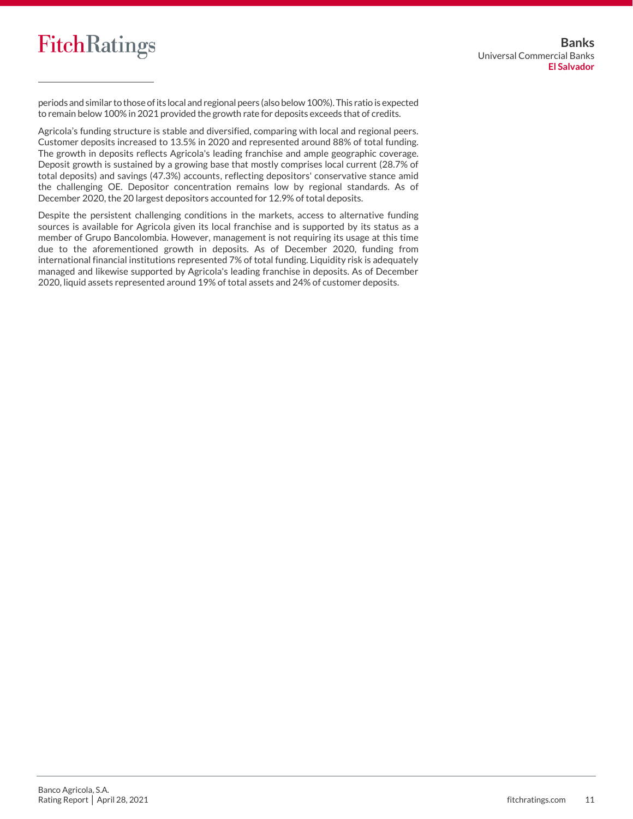

periods and similar to those of its local and regional peers (also below 100%). This ratio is expected to remain below 100% in 2021 provided the growth rate for deposits exceeds that of credits.

Agricola's funding structure is stable and diversified, comparing with local and regional peers. Customer deposits increased to 13.5% in 2020 and represented around 88% of total funding. The growth in deposits reflects Agricola's leading franchise and ample geographic coverage. Deposit growth is sustained by a growing base that mostly comprises local current (28.7% of total deposits) and savings (47.3%) accounts, reflecting depositors' conservative stance amid the challenging OE. Depositor concentration remains low by regional standards. As of December 2020, the 20 largest depositors accounted for 12.9% of total deposits.

Despite the persistent challenging conditions in the markets, access to alternative funding sources is available for Agricola given its local franchise and is supported by its status as a member of Grupo Bancolombia. However, management is not requiring its usage at this time due to the aforementioned growth in deposits. As of December 2020, funding from international financial institutions represented 7% of total funding. Liquidity risk is adequately managed and likewise supported by Agricola's leading franchise in deposits. As of December 2020, liquid assets represented around 19% of total assets and 24% of customer deposits.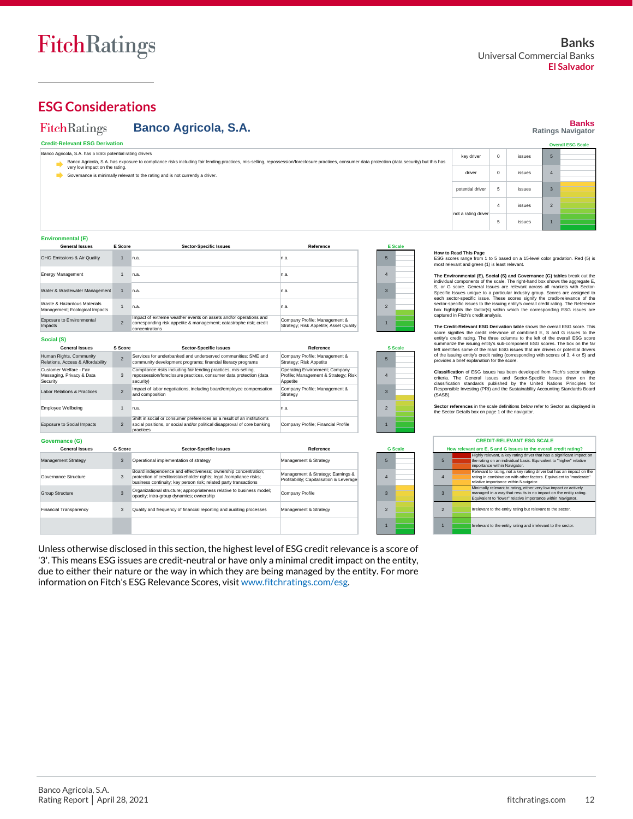

**Banks Ratings Navigator**

**Overall ESG Scale**

# **ESG Considerations**

#### FitchRatings **Banco Agricola, S.A.**

**Credit-Relevant ESG Derivation**

| Banco Agricola, S.A. has 5 ESG potential rating drivers<br>Banco Agricola, S.A. has exposure to compliance risks including fair lending practices, mis-selling, repossession/foreclosure practices, consumer data protection (data security) but this has | key driver          | $\Omega$       | issues | 5              |  |
|-----------------------------------------------------------------------------------------------------------------------------------------------------------------------------------------------------------------------------------------------------------|---------------------|----------------|--------|----------------|--|
| very low impact on the rating.<br>Governance is minimally relevant to the rating and is not currently a driver.                                                                                                                                           | driver              | 0              | issues | $\overline{4}$ |  |
|                                                                                                                                                                                                                                                           | potential driver    | 5              | issues | $\overline{3}$ |  |
|                                                                                                                                                                                                                                                           | not a rating driver | $\overline{4}$ | issues | $\overline{2}$ |  |
|                                                                                                                                                                                                                                                           |                     | ь              | issues |                |  |

#### **Environmental (E)**

| <b>General Issues</b>                                         | <b>E</b> Score           | <b>Sector-Specific Issues</b>                                                                                                                            | Reference                                                               |                | <b>E</b> Scale |
|---------------------------------------------------------------|--------------------------|----------------------------------------------------------------------------------------------------------------------------------------------------------|-------------------------------------------------------------------------|----------------|----------------|
| GHG Emissions & Air Quality                                   | $\mathbf{1}$             | n.a.                                                                                                                                                     | n.a.                                                                    | 5              |                |
| <b>Energy Management</b>                                      | $\mathbf{1}$             | n.a.                                                                                                                                                     | n.a.                                                                    | $\overline{4}$ |                |
| Water & Wastewater Management                                 |                          | n.a.                                                                                                                                                     | n.a.                                                                    | 3              |                |
| Waste & Hazardous Materials<br>Management; Ecological Impacts | 1                        | n.a.                                                                                                                                                     | n.a.                                                                    | $\overline{2}$ |                |
| Exposure to Environmental<br>Impacts                          | $\overline{\phantom{a}}$ | Impact of extreme weather events on assets and/or operations and<br>corresponding risk appetite & management; catastrophe risk; credit<br>concentrations | Company Profile; Management &<br>Strategy; Risk Appetite; Asset Quality |                |                |
| Social (S)                                                    |                          |                                                                                                                                                          |                                                                         |                |                |
| <b>General Issues</b>                                         | <b>S</b> Score           | <b>Sector-Specific Issues</b>                                                                                                                            | Reference                                                               |                | <b>S</b> Scale |
| Human Rights, Community<br>Relations, Access & Affordability  | $\overline{\phantom{0}}$ | Services for underbanked and underserved communities: SME and<br>community development programs; financial literacy programs                             | Company Profile; Management &<br>Strategy; Risk Appetite                | 5              |                |

| <b>Relations, Access &amp; Allorgability</b>                     |                | community development programs, imancial literacy programs                                                                                                                                                | Strategy, KISK Appetite                                                            |                          |                |
|------------------------------------------------------------------|----------------|-----------------------------------------------------------------------------------------------------------------------------------------------------------------------------------------------------------|------------------------------------------------------------------------------------|--------------------------|----------------|
| Customer Welfare - Fair<br>Messaging, Privacy & Data<br>Security | 3              | Compliance risks including fair lending practices, mis-selling,<br>repossession/foreclosure practices, consumer data protection (data<br>security)                                                        | Operating Environment; Company<br>Profile; Management & Strategy; Risk<br>Appetite | 4                        |                |
| Labor Relations & Practices                                      | $\overline{2}$ | Impact of labor negotiations, including board/employee compensation<br>and composition                                                                                                                    | Company Profile; Management &<br>Strategy                                          | з                        |                |
| Employee Wellbeing                                               | $\overline{1}$ | n.a.                                                                                                                                                                                                      | n.a.                                                                               | $\overline{\phantom{0}}$ |                |
| <b>Exposure to Social Impacts</b>                                | $\overline{2}$ | Shift in social or consumer preferences as a result of an institution's<br>social positions, or social and/or political disapproval of core banking<br>practices                                          | Company Profile; Financial Profile                                                 |                          |                |
|                                                                  |                |                                                                                                                                                                                                           |                                                                                    |                          |                |
| Governance (G)<br><b>General Issues</b>                          | <b>G</b> Score |                                                                                                                                                                                                           | Reference                                                                          |                          | <b>G</b> Scale |
| <b>Management Strategy</b>                                       | 3              | <b>Sector-Specific Issues</b><br>Operational implementation of strategy                                                                                                                                   | Management & Strategy                                                              | 5                        |                |
| Governance Structure                                             | 3              | Board independence and effectiveness; ownership concentration;<br>protection of creditor/stakeholder rights; legal /compliance risks;<br>business continuity: key person risk: related party transactions | Management & Strategy; Earnings &<br>Profitability; Capitalisation & Leverage      | Δ                        |                |
| Group Structure                                                  | $\overline{3}$ | Organizational structure; appropriateness relative to business model;<br>opacity; intra-group dynamics; ownership                                                                                         | Company Profile                                                                    | з                        |                |
| <b>Financial Transparency</b>                                    | 3              | Quality and frequency of financial reporting and auditing processes                                                                                                                                       | Management & Strategy                                                              | $\overline{2}$           |                |

Unless otherwise disclosed in this section, the highest level of ESG credit relevance is a score of '3'. This means ESG issues are credit-neutral or have only a minimal credit impact on the entity, due to either their nature or the way in which they are being managed by the entity. For more information on Fitch's ESG Relevance Scores, visit [www.fitchratings.com/esg.](http://www.fitchratings.com/esg)

1

**How to Read This Page**<br>ESG scores range from 1 to 5 based on a 15-level color gradation. Red (5) is<br>most relevant and green (1) is least relevant.

The Environmental (E), Social (S) and Governance (G) tables break out the<br>individual components of the scale. The right-hand box shows the aggregate E,<br>S, or G score. General Issues are relevant across all markets with Sec Specific Issues unique to a particular industry group. Scores are assigned to each sector-specific issue. These scores signify the credit-relevance of the each sector-specific issues to the issuing entity's overall credit captured in Fitch's credit analysis.

The Credit-Relevant ESQ Derivation table shows the overall ESG score. This<br>core signifies the credit relevance of combined E, S and G issues to the<br>entity's credit rating. The three columns to the left of the overall ESG s

Classification of ESG issues has been developed from Fitch's sector ratings<br>criteria. The General Issues and Sector-Specific Issues draw on the<br>classification standards published by the United Nations Principles for<br>Respon

**Sector references** in the scale definitions below refer to Sector as displayed in the Sector Details box on page 1 of the navigator.

| <b>CREDIT-RELEVANT ESG SCALE</b>                                 |  |                                                                                                                                                                                                     |  |  |  |  |
|------------------------------------------------------------------|--|-----------------------------------------------------------------------------------------------------------------------------------------------------------------------------------------------------|--|--|--|--|
| How relevant are E, S and G issues to the overall credit rating? |  |                                                                                                                                                                                                     |  |  |  |  |
| $5\overline{5}$                                                  |  | Highly relevant, a key rating driver that has a significant impact on<br>the rating on an individual basis. Equivalent to "higher" relative<br>importance within Navigator.                         |  |  |  |  |
| $\overline{4}$                                                   |  | Relevant to rating, not a key rating driver but has an impact on the<br>rating in combination with other factors. Equivalent to "moderate"<br>relative importance within Navigator.                 |  |  |  |  |
| $\mathbf{3}$                                                     |  | Minimally relevant to rating, either very low impact or actively<br>managed in a way that results in no impact on the entity rating.<br>Equivalent to "lower" relative importance within Navigator. |  |  |  |  |
| $\overline{\phantom{0}}$                                         |  | Irrelevant to the entity rating but relevant to the sector.                                                                                                                                         |  |  |  |  |
|                                                                  |  | Irrelevant to the entity rating and irrelevant to the sector.                                                                                                                                       |  |  |  |  |